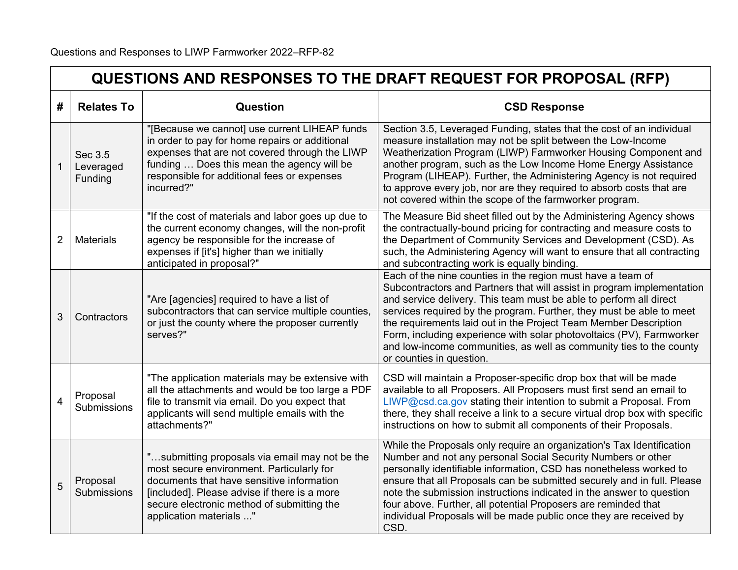|              | QUESTIONS AND RESPONSES TO THE DRAFT REQUEST FOR PROPOSAL (RFP) |                                                                                                                                                                                                                                                                   |                                                                                                                                                                                                                                                                                                                                                                                                                                                                                                                                    |  |  |
|--------------|-----------------------------------------------------------------|-------------------------------------------------------------------------------------------------------------------------------------------------------------------------------------------------------------------------------------------------------------------|------------------------------------------------------------------------------------------------------------------------------------------------------------------------------------------------------------------------------------------------------------------------------------------------------------------------------------------------------------------------------------------------------------------------------------------------------------------------------------------------------------------------------------|--|--|
| #            | <b>Relates To</b>                                               | Question                                                                                                                                                                                                                                                          | <b>CSD Response</b>                                                                                                                                                                                                                                                                                                                                                                                                                                                                                                                |  |  |
| $\mathbf{1}$ | Sec 3.5<br>Leveraged<br>Funding                                 | "[Because we cannot] use current LIHEAP funds<br>in order to pay for home repairs or additional<br>expenses that are not covered through the LIWP<br>funding  Does this mean the agency will be<br>responsible for additional fees or expenses<br>incurred?"      | Section 3.5, Leveraged Funding, states that the cost of an individual<br>measure installation may not be split between the Low-Income<br>Weatherization Program (LIWP) Farmworker Housing Component and<br>another program, such as the Low Income Home Energy Assistance<br>Program (LIHEAP). Further, the Administering Agency is not required<br>to approve every job, nor are they required to absorb costs that are<br>not covered within the scope of the farmworker program.                                                |  |  |
| 2            | <b>Materials</b>                                                | "If the cost of materials and labor goes up due to<br>the current economy changes, will the non-profit<br>agency be responsible for the increase of<br>expenses if [it's] higher than we initially<br>anticipated in proposal?"                                   | The Measure Bid sheet filled out by the Administering Agency shows<br>the contractually-bound pricing for contracting and measure costs to<br>the Department of Community Services and Development (CSD). As<br>such, the Administering Agency will want to ensure that all contracting<br>and subcontracting work is equally binding.                                                                                                                                                                                             |  |  |
| 3            | Contractors                                                     | "Are [agencies] required to have a list of<br>subcontractors that can service multiple counties,<br>or just the county where the proposer currently<br>serves?"                                                                                                   | Each of the nine counties in the region must have a team of<br>Subcontractors and Partners that will assist in program implementation<br>and service delivery. This team must be able to perform all direct<br>services required by the program. Further, they must be able to meet<br>the requirements laid out in the Project Team Member Description<br>Form, including experience with solar photovoltaics (PV), Farmworker<br>and low-income communities, as well as community ties to the county<br>or counties in question. |  |  |
| 4            | Proposal<br>Submissions                                         | "The application materials may be extensive with<br>all the attachments and would be too large a PDF<br>file to transmit via email. Do you expect that<br>applicants will send multiple emails with the<br>attachments?"                                          | CSD will maintain a Proposer-specific drop box that will be made<br>available to all Proposers. All Proposers must first send an email to<br>LIWP@csd.ca.gov stating their intention to submit a Proposal. From<br>there, they shall receive a link to a secure virtual drop box with specific<br>instructions on how to submit all components of their Proposals.                                                                                                                                                                 |  |  |
| 5            | Proposal<br>Submissions                                         | "submitting proposals via email may not be the<br>most secure environment. Particularly for<br>documents that have sensitive information<br>[included]. Please advise if there is a more<br>secure electronic method of submitting the<br>application materials " | While the Proposals only require an organization's Tax Identification<br>Number and not any personal Social Security Numbers or other<br>personally identifiable information, CSD has nonetheless worked to<br>ensure that all Proposals can be submitted securely and in full. Please<br>note the submission instructions indicated in the answer to question<br>four above. Further, all potential Proposers are reminded that<br>individual Proposals will be made public once they are received by<br>CSD.                     |  |  |